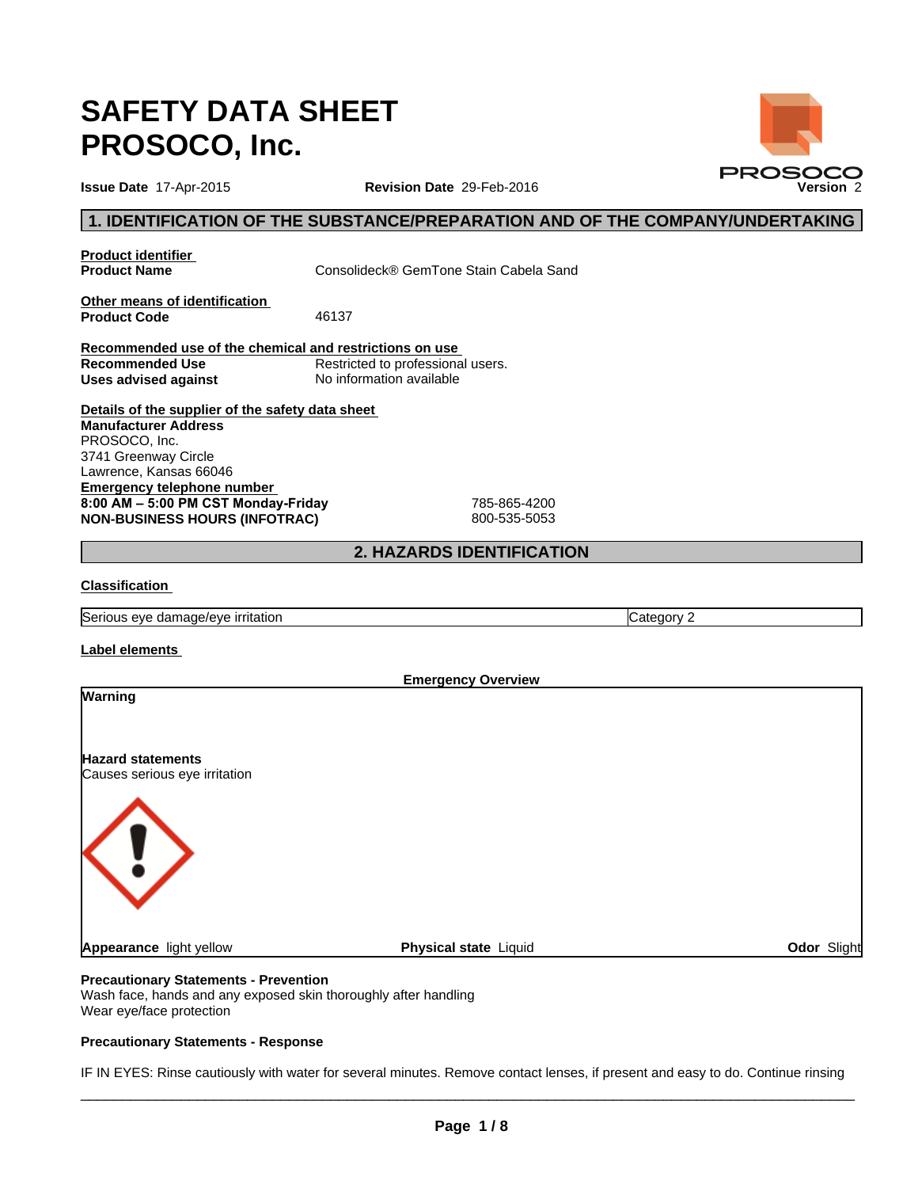# **SAFETY DATA SHEET PROSOCO, Inc.**

**Revision Date** 29-Feb-2016

# **1. IDENTIFICATION OF THE SUBSTANCE/PREPARATION AND OF THE COMPANY/UNDERTAKING**

**Product identifier<br>Product Name** 

**Product Name** Consolideck® GemTone Stain Cabela Sand

**Other means of identification Product Code** 46137

**Recommended use of the chemical and restrictions on use Recommended Use** Restricted to professional users.<br> **Uses advised against** No information available **Uses advised against** 

**Details of the supplier of the safety data sheet Emergency telephone number**  8:00 AM - 5:00 PM CST Monday-Friday 785-865-4200 **NON-BUSINESS HOURS (INFOTRAC)** 800-535-5053 **Manufacturer Address** PROSOCO, Inc. 3741 Greenway Circle Lawrence, Kansas 66046

# **2. HAZARDS IDENTIFICATION**

# **Classification**

Serious eye damage/eye irritation Category 2

### **Label elements**

|                                                           | <b>Emergency Overview</b> |             |
|-----------------------------------------------------------|---------------------------|-------------|
| Warning                                                   |                           |             |
| <b>Hazard statements</b><br>Causes serious eye irritation |                           |             |
| $\overline{\mathbf{u}}$                                   |                           |             |
| Appearance light yellow                                   | Physical state Liquid     | Odor Slight |
|                                                           |                           |             |

# **Precautionary Statements - Prevention**

Wash face, hands and any exposed skin thoroughly after handling Wear eye/face protection

### **Precautionary Statements - Response**

IF IN EYES: Rinse cautiously with water for several minutes. Remove contact lenses, if present and easy to do. Continue rinsing

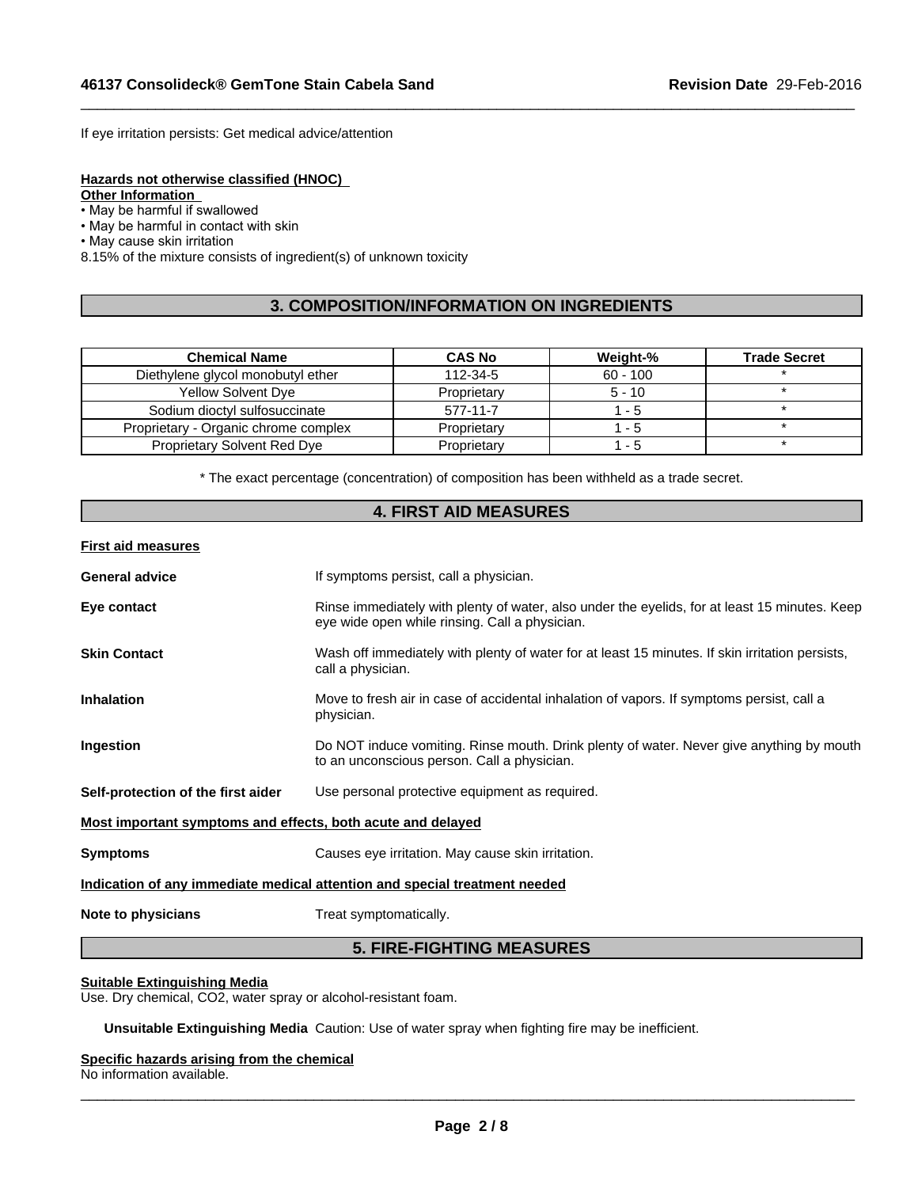If eye irritation persists: Get medical advice/attention

#### **Hazards not otherwise classified (HNOC)**

**Other Information** 

• May be harmful if swallowed

• May be harmful in contact with skin

• May cause skin irritation

8.15% of the mixture consists of ingredient(s) of unknown toxicity

# **3. COMPOSITION/INFORMATION ON INGREDIENTS**

 $\_$  ,  $\_$  ,  $\_$  ,  $\_$  ,  $\_$  ,  $\_$  ,  $\_$  ,  $\_$  ,  $\_$  ,  $\_$  ,  $\_$  ,  $\_$  ,  $\_$  ,  $\_$  ,  $\_$  ,  $\_$  ,  $\_$  ,  $\_$  ,  $\_$  ,  $\_$  ,  $\_$  ,  $\_$  ,  $\_$  ,  $\_$  ,  $\_$  ,  $\_$  ,  $\_$  ,  $\_$  ,  $\_$  ,  $\_$  ,  $\_$  ,  $\_$  ,  $\_$  ,  $\_$  ,  $\_$  ,  $\_$  ,  $\_$  ,

| <b>Chemical Name</b>                 | <b>CAS No</b> | Weight-%   | <b>Trade Secret</b> |
|--------------------------------------|---------------|------------|---------------------|
| Diethylene glycol monobutyl ether    | 112-34-5      | $60 - 100$ |                     |
| <b>Yellow Solvent Dve</b>            | Proprietary   | $5 - 10$   |                     |
| Sodium dioctyl sulfosuccinate        | 577-11-7      | - 5        |                     |
| Proprietary - Organic chrome complex | Proprietary   | - 5        |                     |
| <b>Proprietary Solvent Red Dye</b>   | Proprietary   | - 5        |                     |

\* The exact percentage (concentration) of composition has been withheld as a trade secret.

# **4. FIRST AID MEASURES**

#### **First aid measures**

| <b>General advice</b>                                                      | If symptoms persist, call a physician.                                                                                                          |  |  |  |
|----------------------------------------------------------------------------|-------------------------------------------------------------------------------------------------------------------------------------------------|--|--|--|
| Eye contact                                                                | Rinse immediately with plenty of water, also under the eyelids, for at least 15 minutes. Keep<br>eye wide open while rinsing. Call a physician. |  |  |  |
| <b>Skin Contact</b>                                                        | Wash off immediately with plenty of water for at least 15 minutes. If skin irritation persists,<br>call a physician.                            |  |  |  |
| <b>Inhalation</b>                                                          | Move to fresh air in case of accidental inhalation of vapors. If symptoms persist, call a<br>physician.                                         |  |  |  |
| Ingestion                                                                  | Do NOT induce vomiting. Rinse mouth. Drink plenty of water. Never give anything by mouth<br>to an unconscious person. Call a physician.         |  |  |  |
| Self-protection of the first aider                                         | Use personal protective equipment as required.                                                                                                  |  |  |  |
| Most important symptoms and effects, both acute and delayed                |                                                                                                                                                 |  |  |  |
| <b>Symptoms</b>                                                            | Causes eye irritation. May cause skin irritation.                                                                                               |  |  |  |
| Indication of any immediate medical attention and special treatment needed |                                                                                                                                                 |  |  |  |
| Note to physicians                                                         | Treat symptomatically.                                                                                                                          |  |  |  |

# **5. FIRE-FIGHTING MEASURES**

#### **Suitable Extinguishing Media**

Use. Dry chemical, CO2, water spray or alcohol-resistant foam.

**Unsuitable Extinguishing Media** Caution: Use of water spray when fighting fire may be inefficient.

#### **Specific hazards arising from the chemical** No information available.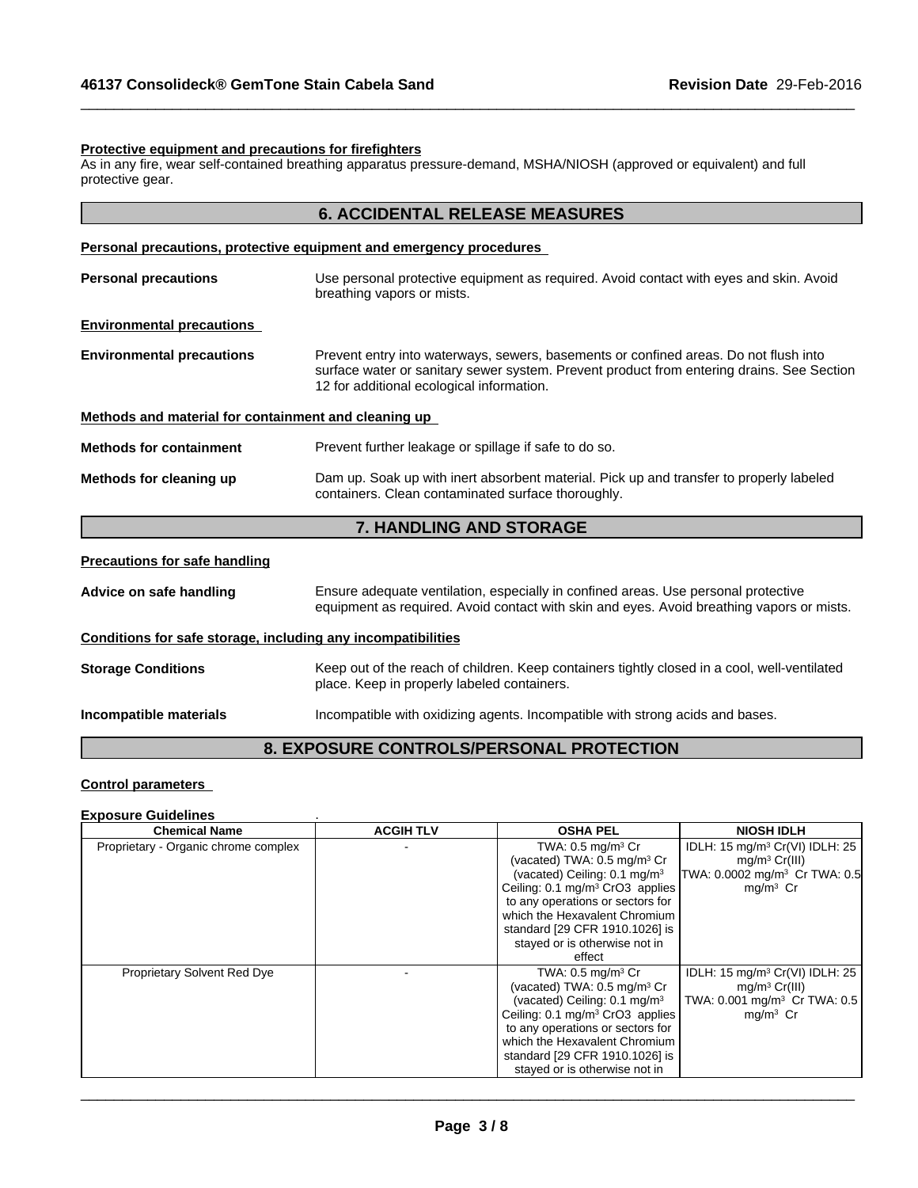#### **Protective equipment and precautions for firefighters**

As in any fire, wear self-contained breathing apparatus pressure-demand, MSHA/NIOSH (approved or equivalent) and full protective gear.

| <b>6. ACCIDENTAL RELEASE MEASURES</b> |  |
|---------------------------------------|--|
|---------------------------------------|--|

 $\_$  ,  $\_$  ,  $\_$  ,  $\_$  ,  $\_$  ,  $\_$  ,  $\_$  ,  $\_$  ,  $\_$  ,  $\_$  ,  $\_$  ,  $\_$  ,  $\_$  ,  $\_$  ,  $\_$  ,  $\_$  ,  $\_$  ,  $\_$  ,  $\_$  ,  $\_$  ,  $\_$  ,  $\_$  ,  $\_$  ,  $\_$  ,  $\_$  ,  $\_$  ,  $\_$  ,  $\_$  ,  $\_$  ,  $\_$  ,  $\_$  ,  $\_$  ,  $\_$  ,  $\_$  ,  $\_$  ,  $\_$  ,  $\_$  ,

#### **Personal precautions, protective equipment and emergency procedures**

|                                                      | <b>UANDI ING AND CTODACE</b><br>$\overline{\phantom{a}}$                                                                                                                                                                       |  |  |
|------------------------------------------------------|--------------------------------------------------------------------------------------------------------------------------------------------------------------------------------------------------------------------------------|--|--|
| Methods for cleaning up                              | Dam up. Soak up with inert absorbent material. Pick up and transfer to properly labeled<br>containers. Clean contaminated surface thoroughly.                                                                                  |  |  |
| <b>Methods for containment</b>                       | Prevent further leakage or spillage if safe to do so.                                                                                                                                                                          |  |  |
| Methods and material for containment and cleaning up |                                                                                                                                                                                                                                |  |  |
| <b>Environmental precautions</b>                     | Prevent entry into waterways, sewers, basements or confined areas. Do not flush into<br>surface water or sanitary sewer system. Prevent product from entering drains. See Section<br>12 for additional ecological information. |  |  |
| <b>Environmental precautions</b>                     |                                                                                                                                                                                                                                |  |  |
| <b>Personal precautions</b>                          | Use personal protective equipment as required. Avoid contact with eyes and skin. Avoid<br>breathing vapors or mists.                                                                                                           |  |  |
|                                                      |                                                                                                                                                                                                                                |  |  |

### **7. HANDLING AND STORAGE**

#### **Precautions for safe handling**

**Advice on safe handling** Ensure adequate ventilation, especially in confined areas. Use personal protective equipment as required. Avoid contact with skin and eyes. Avoid breathing vapors or mists. **Conditions for safe storage, including any incompatibilities** Storage Conditions **Keep out of the reach of children. Keep containers tightly closed in a cool, well-ventilated** place. Keep in properly labeled containers. **Incompatible materials Incompatible with oxidizing agents. Incompatible with strong acids and bases.** 

# **8. EXPOSURE CONTROLS/PERSONAL PROTECTION**

### **Control parameters**

# **Exposure Guidelines** .

| <b>Chemical Name</b>                 | <b>ACGIH TLV</b> | <b>OSHA PEL</b>                             | <b>NIOSH IDLH</b>                           |
|--------------------------------------|------------------|---------------------------------------------|---------------------------------------------|
| Proprietary - Organic chrome complex |                  | TWA: $0.5 \text{ mg/m}$ <sup>3</sup> Cr     | IDLH: $15 \text{ mg/m}^3$ Cr(VI) IDLH: $25$ |
|                                      |                  | (vacated) TWA: $0.5 \text{ mg/m}^3$ Cr      | $mq/m^3 Cr(III)$                            |
|                                      |                  | (vacated) Ceiling: 0.1 mg/m <sup>3</sup>    | TWA: 0.0002 mg/m <sup>3</sup> Cr TWA: 0.5   |
|                                      |                  | Ceiling: 0.1 mg/m <sup>3</sup> CrO3 applies | $mg/m3$ Cr                                  |
|                                      |                  | to any operations or sectors for            |                                             |
|                                      |                  | which the Hexavalent Chromium               |                                             |
|                                      |                  | standard [29 CFR 1910.1026] is              |                                             |
|                                      |                  | stayed or is otherwise not in               |                                             |
|                                      |                  | effect                                      |                                             |
| <b>Proprietary Solvent Red Dye</b>   |                  | TWA: $0.5 \text{ mg/m}^3 \text{ Cr}$        | IDLH: 15 mg/m <sup>3</sup> Cr(VI) IDLH: 25  |
|                                      |                  | (vacated) TWA: 0.5 mg/m <sup>3</sup> Cr     | $mq/m^3 Cr(III)$                            |
|                                      |                  | (vacated) Ceiling: $0.1 \text{ mg/m}^3$     | TWA: 0.001 mg/m <sup>3</sup> Cr TWA: 0.5    |
|                                      |                  | Ceiling: 0.1 mg/m <sup>3</sup> CrO3 applies | $mq/m3$ Cr                                  |
|                                      |                  | to any operations or sectors for            |                                             |
|                                      |                  | which the Hexavalent Chromium               |                                             |
|                                      |                  | standard [29 CFR 1910.1026] is              |                                             |
|                                      |                  | stayed or is otherwise not in               |                                             |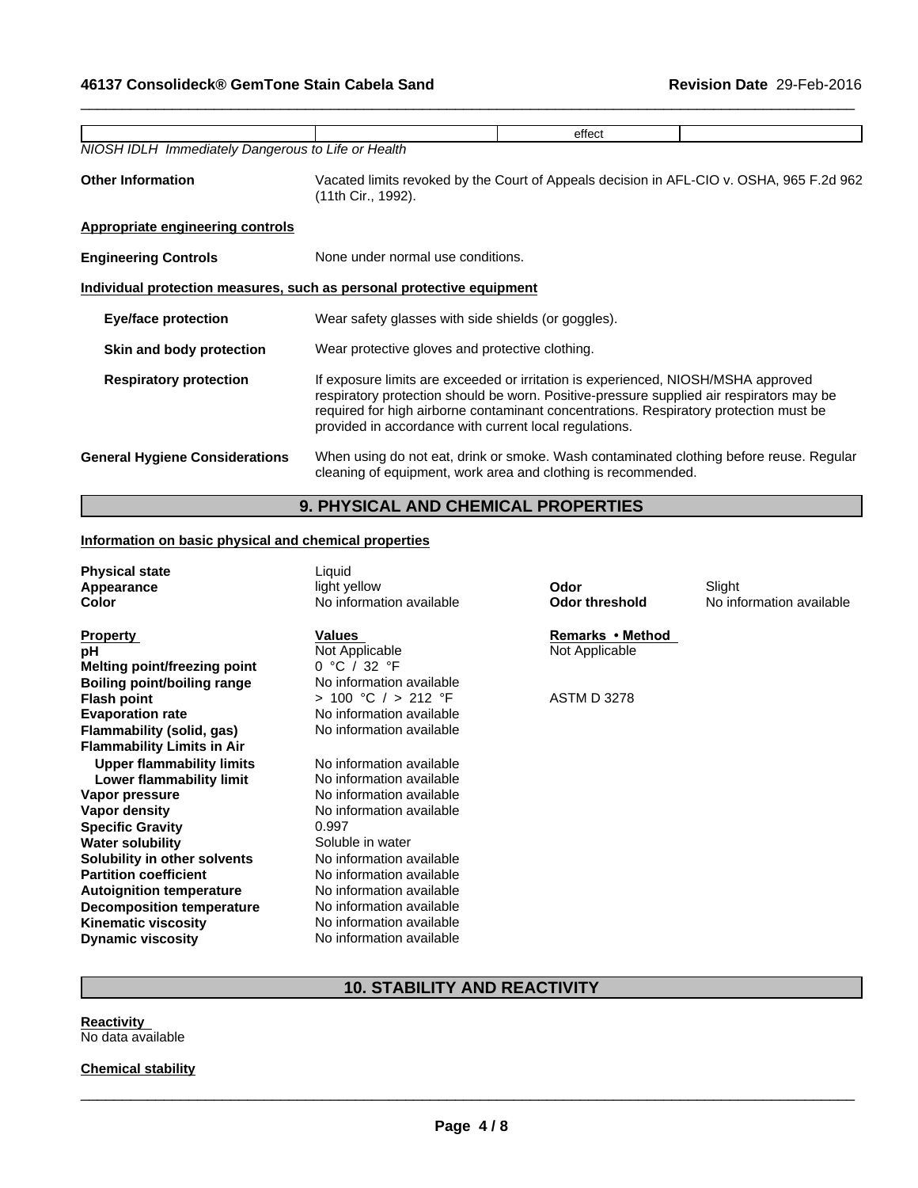|                                                                       |                                                                                                                                                                                                                                                                                                                                  | effect |  |  |  |
|-----------------------------------------------------------------------|----------------------------------------------------------------------------------------------------------------------------------------------------------------------------------------------------------------------------------------------------------------------------------------------------------------------------------|--------|--|--|--|
| NIOSH IDLH Immediately Dangerous to Life or Health                    |                                                                                                                                                                                                                                                                                                                                  |        |  |  |  |
| <b>Other Information</b>                                              | Vacated limits revoked by the Court of Appeals decision in AFL-CIO v. OSHA, 965 F.2d 962<br>(11th Cir., 1992).                                                                                                                                                                                                                   |        |  |  |  |
| <b>Appropriate engineering controls</b>                               |                                                                                                                                                                                                                                                                                                                                  |        |  |  |  |
| <b>Engineering Controls</b>                                           | None under normal use conditions.                                                                                                                                                                                                                                                                                                |        |  |  |  |
| Individual protection measures, such as personal protective equipment |                                                                                                                                                                                                                                                                                                                                  |        |  |  |  |
| <b>Eye/face protection</b>                                            | Wear safety glasses with side shields (or goggles).                                                                                                                                                                                                                                                                              |        |  |  |  |
| Skin and body protection                                              | Wear protective gloves and protective clothing.                                                                                                                                                                                                                                                                                  |        |  |  |  |
| <b>Respiratory protection</b>                                         | If exposure limits are exceeded or irritation is experienced, NIOSH/MSHA approved<br>respiratory protection should be worn. Positive-pressure supplied air respirators may be<br>required for high airborne contaminant concentrations. Respiratory protection must be<br>provided in accordance with current local regulations. |        |  |  |  |
| <b>General Hygiene Considerations</b>                                 | When using do not eat, drink or smoke. Wash contaminated clothing before reuse. Regular<br>cleaning of equipment, work area and clothing is recommended.                                                                                                                                                                         |        |  |  |  |

 $\_$  ,  $\_$  ,  $\_$  ,  $\_$  ,  $\_$  ,  $\_$  ,  $\_$  ,  $\_$  ,  $\_$  ,  $\_$  ,  $\_$  ,  $\_$  ,  $\_$  ,  $\_$  ,  $\_$  ,  $\_$  ,  $\_$  ,  $\_$  ,  $\_$  ,  $\_$  ,  $\_$  ,  $\_$  ,  $\_$  ,  $\_$  ,  $\_$  ,  $\_$  ,  $\_$  ,  $\_$  ,  $\_$  ,  $\_$  ,  $\_$  ,  $\_$  ,  $\_$  ,  $\_$  ,  $\_$  ,  $\_$  ,  $\_$  ,

# **9. PHYSICAL AND CHEMICAL PROPERTIES**

# **Information on basic physical and chemical properties**

| <b>Physical state</b>             | Liquid                   | Odor                  |                          |
|-----------------------------------|--------------------------|-----------------------|--------------------------|
| Appearance                        | light yellow             |                       | Slight                   |
| <b>Color</b>                      | No information available | <b>Odor threshold</b> | No information available |
| <b>Property</b>                   | Values                   | Remarks • Method      |                          |
| рH                                | Not Applicable           | Not Applicable        |                          |
| Melting point/freezing point      | 0 °C / 32 °F             |                       |                          |
|                                   |                          |                       |                          |
| Boiling point/boiling range       | No information available |                       |                          |
| <b>Flash point</b>                | > 100 °C / > 212 °F      | <b>ASTM D 3278</b>    |                          |
| <b>Evaporation rate</b>           | No information available |                       |                          |
| Flammability (solid, gas)         | No information available |                       |                          |
| <b>Flammability Limits in Air</b> |                          |                       |                          |
| <b>Upper flammability limits</b>  | No information available |                       |                          |
| Lower flammability limit          | No information available |                       |                          |
| Vapor pressure                    | No information available |                       |                          |
| Vapor density                     | No information available |                       |                          |
| <b>Specific Gravity</b>           | 0.997                    |                       |                          |
|                                   |                          |                       |                          |
| <b>Water solubility</b>           | Soluble in water         |                       |                          |
| Solubility in other solvents      | No information available |                       |                          |
| <b>Partition coefficient</b>      | No information available |                       |                          |
| <b>Autoignition temperature</b>   | No information available |                       |                          |
| <b>Decomposition temperature</b>  | No information available |                       |                          |
| <b>Kinematic viscosity</b>        | No information available |                       |                          |
| <b>Dynamic viscosity</b>          | No information available |                       |                          |
|                                   |                          |                       |                          |

# **10. STABILITY AND REACTIVITY**

**Reactivity**  No data available

**Chemical stability**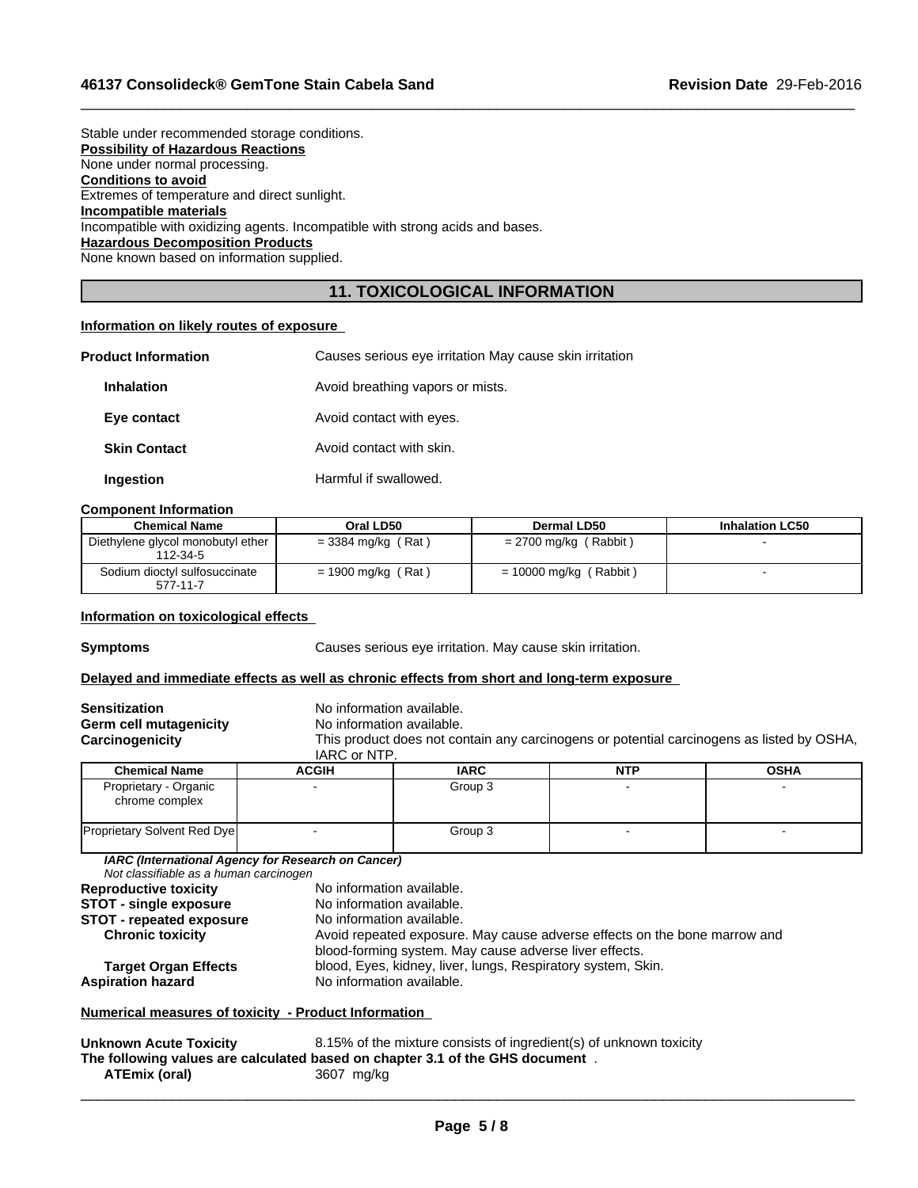| Stable under recommended storage conditions.                                  |
|-------------------------------------------------------------------------------|
| <b>Possibility of Hazardous Reactions</b>                                     |
| None under normal processing.                                                 |
| <b>Conditions to avoid</b>                                                    |
| Extremes of temperature and direct sunlight.                                  |
| Incompatible materials                                                        |
| Incompatible with oxidizing agents. Incompatible with strong acids and bases. |
| <b>Hazardous Decomposition Products</b>                                       |
| None known based on information supplied.                                     |
|                                                                               |

# **11. TOXICOLOGICAL INFORMATION**

 $\_$  ,  $\_$  ,  $\_$  ,  $\_$  ,  $\_$  ,  $\_$  ,  $\_$  ,  $\_$  ,  $\_$  ,  $\_$  ,  $\_$  ,  $\_$  ,  $\_$  ,  $\_$  ,  $\_$  ,  $\_$  ,  $\_$  ,  $\_$  ,  $\_$  ,  $\_$  ,  $\_$  ,  $\_$  ,  $\_$  ,  $\_$  ,  $\_$  ,  $\_$  ,  $\_$  ,  $\_$  ,  $\_$  ,  $\_$  ,  $\_$  ,  $\_$  ,  $\_$  ,  $\_$  ,  $\_$  ,  $\_$  ,  $\_$  ,

# **Information on likely routes of exposure**

| <b>Product Information</b> | Causes serious eye irritation May cause skin irritation |
|----------------------------|---------------------------------------------------------|
| <b>Inhalation</b>          | Avoid breathing vapors or mists.                        |
| Eye contact                | Avoid contact with eyes.                                |
| <b>Skin Contact</b>        | Avoid contact with skin.                                |
| Ingestion                  | Harmful if swallowed.                                   |

### **Component Information**

| <b>Chemical Name</b>                          | Oral LD50            | Dermal LD50                 | <b>Inhalation LC50</b> |
|-----------------------------------------------|----------------------|-----------------------------|------------------------|
| Diethylene glycol monobutyl ether<br>112-34-5 | $=$ 3384 mg/kg (Rat) | Rabbit)<br>$= 2700$ mg/kg ( |                        |
| Sodium dioctyl sulfosuccinate<br>577-11-7     | $= 1900$ mg/kg (Rat) | $= 10000$ mg/kg (Rabbit)    |                        |

#### **Information on toxicological effects**

**Symptoms** Causes serious eye irritation. May cause skin irritation.

### **Delayed and immediate effects as well as chronic effects from short and long-term exposure**

| <b>Sensitization</b><br>Germ cell mutagenicity<br>Carcinogenicity | No information available.<br>No information available.<br>This product does not contain any carcinogens or potential carcinogens as listed by OSHA,<br>IARC or NTP. |             |            |             |
|-------------------------------------------------------------------|---------------------------------------------------------------------------------------------------------------------------------------------------------------------|-------------|------------|-------------|
| <b>Chemical Name</b>                                              | <b>ACGIH</b>                                                                                                                                                        | <b>IARC</b> | <b>NTP</b> | <b>OSHA</b> |
| Proprietary - Organic<br>chrome complex                           |                                                                                                                                                                     | Group 3     |            |             |
| <b>Proprietary Solvent Red Dye</b>                                |                                                                                                                                                                     | Group 3     |            |             |
| Not classifiable as a human carcinogen                            | IARC (International Agency for Research on Cancer)                                                                                                                  |             |            |             |
| <b>Reproductive toxicity</b>                                      | No information available.                                                                                                                                           |             |            |             |
| <b>STOT - single exposure</b>                                     | No information available.                                                                                                                                           |             |            |             |
| <b>STOT - repeated exposure</b><br><b>Chronic toxicity</b>        | No information available.<br>Avoid repeated exposure. May cause adverse effects on the bone marrow and<br>blood-forming system. May cause adverse liver effects.    |             |            |             |

# **Target Organ Effects** blood, Eyes, kidney, liver, lungs, Respiratory system, Skin.<br>**Aspiration hazard** No information available. **No information available.**

# **Numerical measures of toxicity - Product Information**

| <b>Unknown Acute Toxicity</b> | 8.15% of the mixture consists of ingredient(s) of unknown toxicity            |
|-------------------------------|-------------------------------------------------------------------------------|
|                               | The following values are calculated based on chapter 3.1 of the GHS document. |
| ATEmix (oral)                 | 3607 mg/kg                                                                    |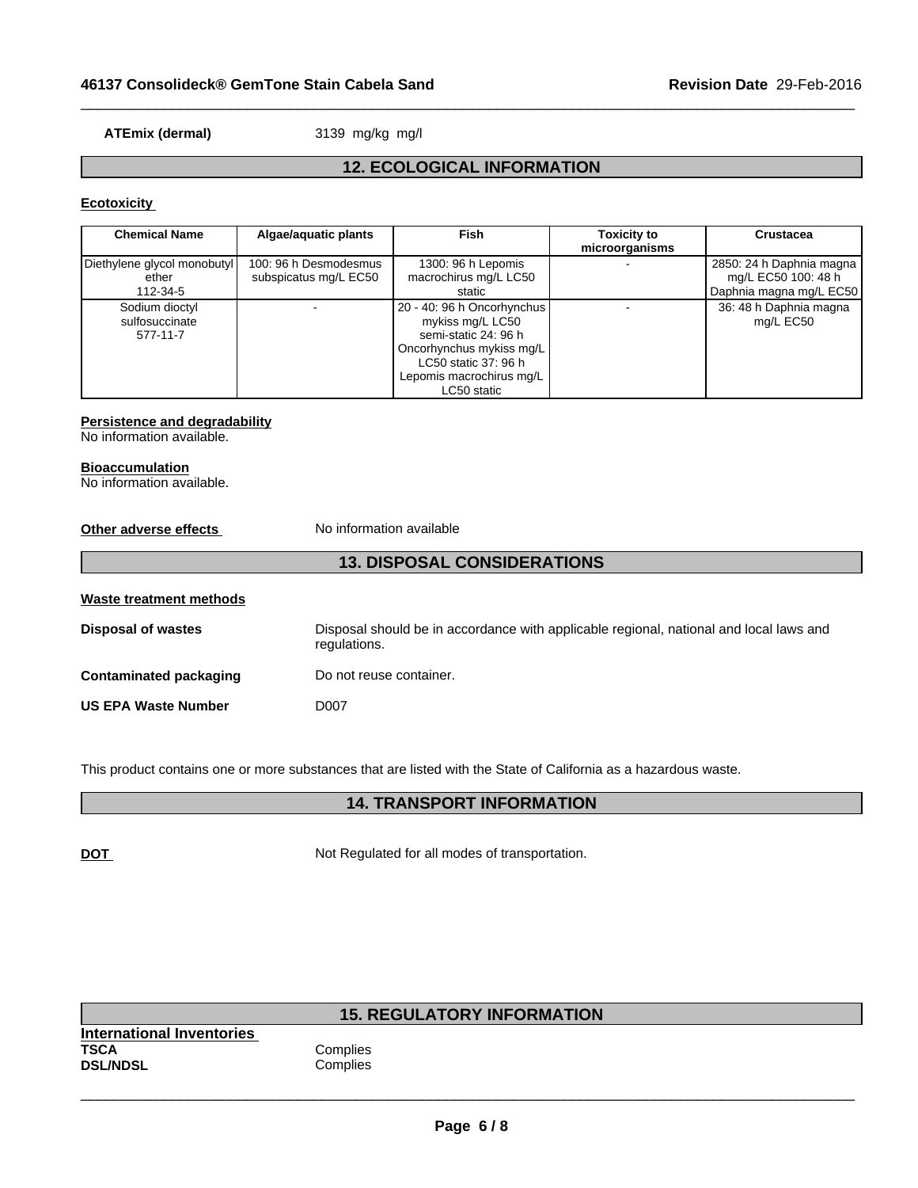**ATEmix (dermal)** 3139 mg/kg mg/l

# **12. ECOLOGICAL INFORMATION**

 $\_$  ,  $\_$  ,  $\_$  ,  $\_$  ,  $\_$  ,  $\_$  ,  $\_$  ,  $\_$  ,  $\_$  ,  $\_$  ,  $\_$  ,  $\_$  ,  $\_$  ,  $\_$  ,  $\_$  ,  $\_$  ,  $\_$  ,  $\_$  ,  $\_$  ,  $\_$  ,  $\_$  ,  $\_$  ,  $\_$  ,  $\_$  ,  $\_$  ,  $\_$  ,  $\_$  ,  $\_$  ,  $\_$  ,  $\_$  ,  $\_$  ,  $\_$  ,  $\_$  ,  $\_$  ,  $\_$  ,  $\_$  ,  $\_$  ,

# **Ecotoxicity**

| <b>Chemical Name</b>        | Algae/aquatic plants  | Fish                       | <b>Toxicity to</b> | <b>Crustacea</b>         |
|-----------------------------|-----------------------|----------------------------|--------------------|--------------------------|
|                             |                       |                            | microorganisms     |                          |
| Diethylene glycol monobutyl | 100: 96 h Desmodesmus | 1300: 96 h Lepomis         |                    | 2850: 24 h Daphnia magna |
| ether                       | subspicatus mg/L EC50 | macrochirus mg/L LC50      |                    | mg/L EC50 100: 48 h      |
| 112-34-5                    |                       | static                     |                    | Daphnia magna mg/L EC50  |
| Sodium dioctyl              |                       | 20 - 40: 96 h Oncorhynchus |                    | 36: 48 h Daphnia magna   |
| sulfosuccinate              |                       | mykiss mg/L LC50           |                    | mg/L EC50                |
| 577-11-7                    |                       | semi-static 24: 96 h       |                    |                          |
|                             |                       | Oncorhynchus mykiss mg/L   |                    |                          |
|                             |                       | LC50 static 37: 96 h       |                    |                          |
|                             |                       | Lepomis macrochirus mg/L   |                    |                          |
|                             |                       | LC50 static                |                    |                          |

# **Persistence and degradability**

#### No information available.

# **Bioaccumulation**

No information available.

| Other adverse effects         | No information available                                                                               |
|-------------------------------|--------------------------------------------------------------------------------------------------------|
|                               | <b>13. DISPOSAL CONSIDERATIONS</b>                                                                     |
| Waste treatment methods       |                                                                                                        |
| <b>Disposal of wastes</b>     | Disposal should be in accordance with applicable regional, national and local laws and<br>regulations. |
| <b>Contaminated packaging</b> | Do not reuse container.                                                                                |
| <b>US EPA Waste Number</b>    | D007                                                                                                   |

This product contains one or more substances that are listed with the State of California as a hazardous waste.

# **14. TRANSPORT INFORMATION**

**DOT** Not Regulated for all modes of transportation.

|                                                             | <b>15. REGULATORY INFORMATION</b> |
|-------------------------------------------------------------|-----------------------------------|
| International Inventories<br><b>TSCA</b><br><b>DSL/NDSL</b> | Complies<br>Complies              |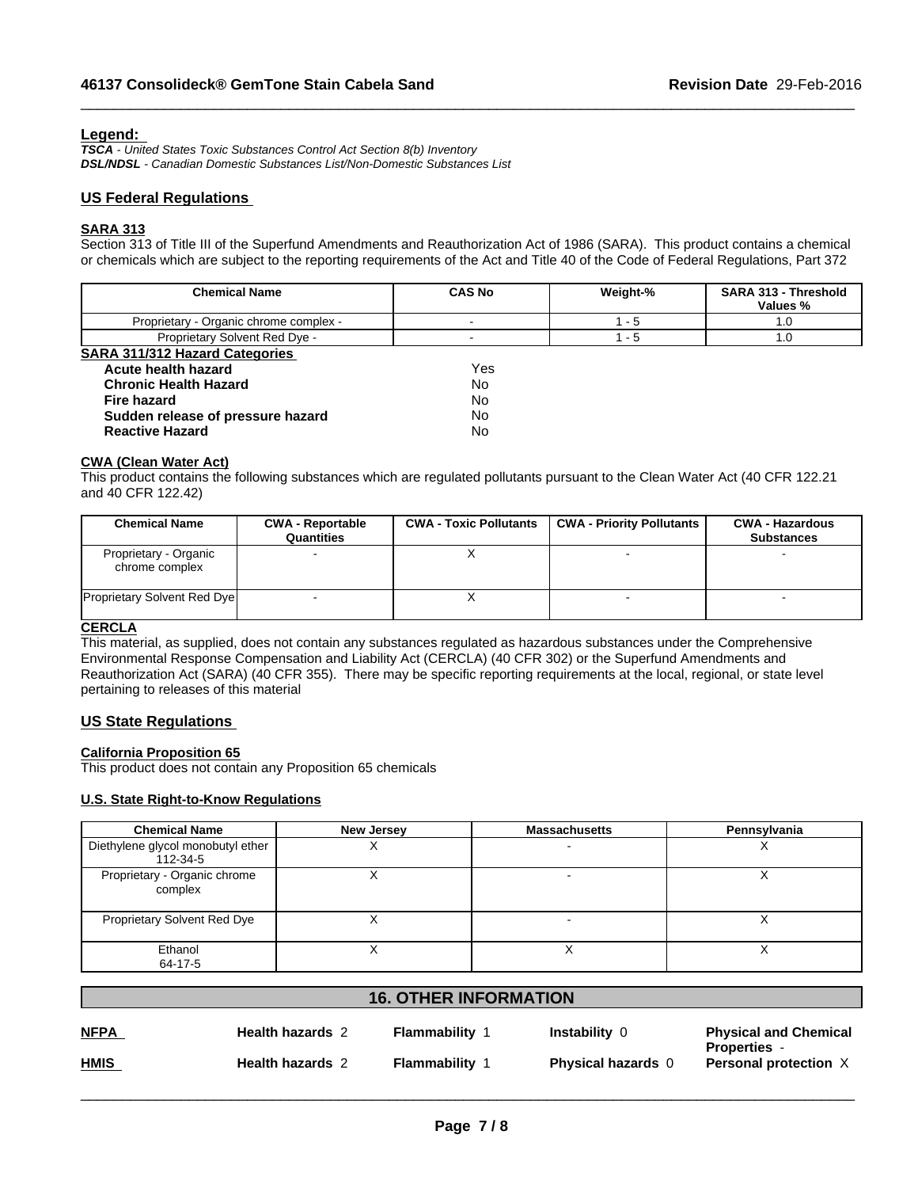# **Legend:**

*TSCA - United States Toxic Substances Control Act Section 8(b) Inventory DSL/NDSL - Canadian Domestic Substances List/Non-Domestic Substances List*

# **US Federal Regulations**

## **SARA 313**

Section 313 of Title III of the Superfund Amendments and Reauthorization Act of 1986 (SARA). This product contains a chemical or chemicals which are subject to the reporting requirements of the Act and Title 40 of the Code of Federal Regulations, Part 372

 $\_$  ,  $\_$  ,  $\_$  ,  $\_$  ,  $\_$  ,  $\_$  ,  $\_$  ,  $\_$  ,  $\_$  ,  $\_$  ,  $\_$  ,  $\_$  ,  $\_$  ,  $\_$  ,  $\_$  ,  $\_$  ,  $\_$  ,  $\_$  ,  $\_$  ,  $\_$  ,  $\_$  ,  $\_$  ,  $\_$  ,  $\_$  ,  $\_$  ,  $\_$  ,  $\_$  ,  $\_$  ,  $\_$  ,  $\_$  ,  $\_$  ,  $\_$  ,  $\_$  ,  $\_$  ,  $\_$  ,  $\_$  ,  $\_$  ,

| <b>Chemical Name</b>                   | <b>CAS No</b> | Weight-% | <b>SARA 313 - Threshold</b><br>Values % |
|----------------------------------------|---------------|----------|-----------------------------------------|
| Proprietary - Organic chrome complex - |               | - 5      | 1.0                                     |
| Proprietary Solvent Red Dye -          |               | - 5      | 1.0                                     |
| <b>SARA 311/312 Hazard Categories</b>  |               |          |                                         |
| Acute health hazard                    | Yes           |          |                                         |
| <b>Chronic Health Hazard</b>           | No            |          |                                         |
| <b>Fire hazard</b>                     | No            |          |                                         |
| Sudden release of pressure hazard      | No            |          |                                         |
| <b>Reactive Hazard</b>                 | No            |          |                                         |

#### **CWA (Clean Water Act)**

This product contains the following substances which are regulated pollutants pursuant to the Clean Water Act (40 CFR 122.21 and 40 CFR 122.42)

| <b>Chemical Name</b>                    | <b>CWA - Reportable</b><br>Quantities | <b>CWA - Toxic Pollutants</b> | <b>CWA - Priority Pollutants</b> | <b>CWA - Hazardous</b><br><b>Substances</b> |
|-----------------------------------------|---------------------------------------|-------------------------------|----------------------------------|---------------------------------------------|
| Proprietary - Organic<br>chrome complex |                                       |                               |                                  |                                             |
| <b>Proprietary Solvent Red Dye</b>      |                                       |                               |                                  |                                             |

# **CERCLA**

This material, as supplied, does not contain any substances regulated as hazardous substances under the Comprehensive Environmental Response Compensation and Liability Act (CERCLA) (40 CFR 302) or the Superfund Amendments and Reauthorization Act (SARA) (40 CFR 355). There may be specific reporting requirements at the local, regional, or state level pertaining to releases of this material

# **US State Regulations**

### **California Proposition 65**

This product does not contain any Proposition 65 chemicals

### **U.S. State Right-to-Know Regulations**

| <b>Chemical Name</b>                          | <b>New Jersey</b> | <b>Massachusetts</b> | Pennsylvania |
|-----------------------------------------------|-------------------|----------------------|--------------|
| Diethylene glycol monobutyl ether<br>112-34-5 | $\lambda$         |                      |              |
| Proprietary - Organic chrome<br>complex       |                   |                      |              |
| Proprietary Solvent Red Dye                   |                   |                      |              |
| Ethanol<br>64-17-5                            |                   |                      |              |

| Flammability<br>Instability 0<br><b>Health hazards 2</b><br><b>Properties -</b> |             |                         |              |                           |                              |
|---------------------------------------------------------------------------------|-------------|-------------------------|--------------|---------------------------|------------------------------|
|                                                                                 | <b>NFPA</b> |                         |              |                           | <b>Physical and Chemical</b> |
|                                                                                 | <b>HMIS</b> | <b>Health hazards 2</b> | Flammability | <b>Physical hazards 0</b> | <b>Personal protection X</b> |

**16. OTHER INFORMATION**